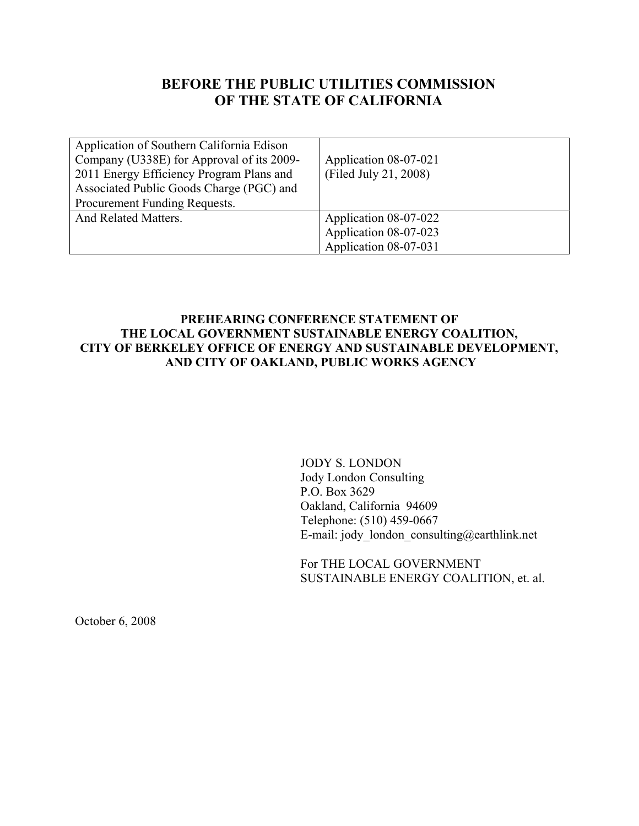# **BEFORE THE PUBLIC UTILITIES COMMISSION OF THE STATE OF CALIFORNIA**

| Application of Southern California Edison<br>Company (U338E) for Approval of its 2009-<br>2011 Energy Efficiency Program Plans and<br>Associated Public Goods Charge (PGC) and<br>Procurement Funding Requests. | Application 08-07-021<br>(Filed July 21, 2008)                          |
|-----------------------------------------------------------------------------------------------------------------------------------------------------------------------------------------------------------------|-------------------------------------------------------------------------|
| And Related Matters.                                                                                                                                                                                            | Application 08-07-022<br>Application 08-07-023<br>Application 08-07-031 |

### **PREHEARING CONFERENCE STATEMENT OF THE LOCAL GOVERNMENT SUSTAINABLE ENERGY COALITION, CITY OF BERKELEY OFFICE OF ENERGY AND SUSTAINABLE DEVELOPMENT, AND CITY OF OAKLAND, PUBLIC WORKS AGENCY**

JODY S. LONDON Jody London Consulting P.O. Box 3629 Oakland, California 94609 Telephone: (510) 459-0667 E-mail: jody london consulting@earthlink.net

For THE LOCAL GOVERNMENT SUSTAINABLE ENERGY COALITION, et. al.

October 6, 2008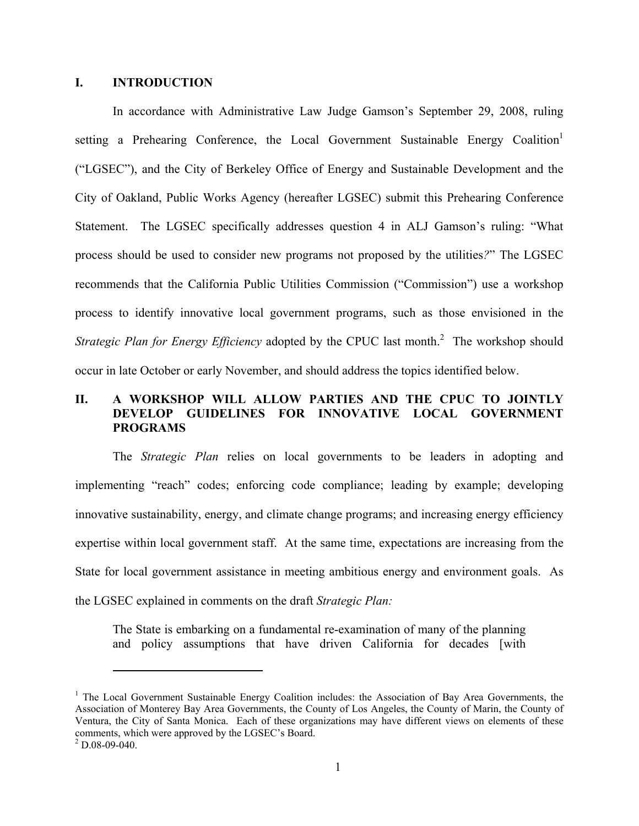#### **I. INTRODUCTION**

In accordance with Administrative Law Judge Gamson's September 29, 2008, ruling setting a Prehearing Conference, the Local Government Sustainable Energy Coalition<sup>1</sup> ("LGSEC"), and the City of Berkeley Office of Energy and Sustainable Development and the City of Oakland, Public Works Agency (hereafter LGSEC) submit this Prehearing Conference Statement. The LGSEC specifically addresses question 4 in ALJ Gamson's ruling: "What process should be used to consider new programs not proposed by the utilities*?*" The LGSEC recommends that the California Public Utilities Commission ("Commission") use a workshop process to identify innovative local government programs, such as those envisioned in the Strategic Plan for Energy Efficiency adopted by the CPUC last month.<sup>2</sup> The workshop should occur in late October or early November, and should address the topics identified below.

### **II. A WORKSHOP WILL ALLOW PARTIES AND THE CPUC TO JOINTLY DEVELOP GUIDELINES FOR INNOVATIVE LOCAL GOVERNMENT PROGRAMS**

The *Strategic Plan* relies on local governments to be leaders in adopting and implementing "reach" codes; enforcing code compliance; leading by example; developing innovative sustainability, energy, and climate change programs; and increasing energy efficiency expertise within local government staff. At the same time, expectations are increasing from the State for local government assistance in meeting ambitious energy and environment goals. As the LGSEC explained in comments on the draft *Strategic Plan:* 

The State is embarking on a fundamental re-examination of many of the planning and policy assumptions that have driven California for decades [with

 $\overline{a}$ 

<sup>&</sup>lt;sup>1</sup> The Local Government Sustainable Energy Coalition includes: the Association of Bay Area Governments, the Association of Monterey Bay Area Governments, the County of Los Angeles, the County of Marin, the County of Ventura, the City of Santa Monica. Each of these organizations may have different views on elements of these comments, which were approved by the LGSEC's Board. 2

 $2$  D.08-09-040.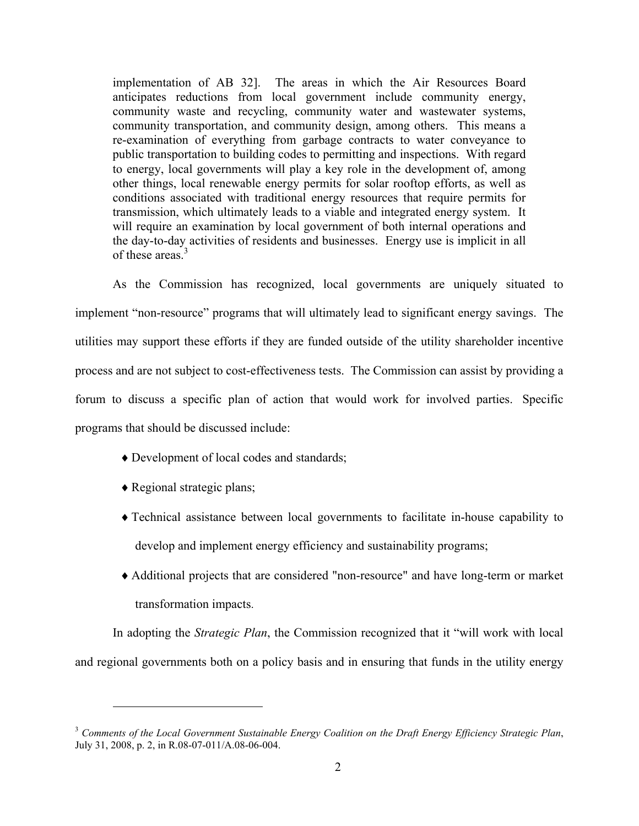implementation of AB 32]. The areas in which the Air Resources Board anticipates reductions from local government include community energy, community waste and recycling, community water and wastewater systems, community transportation, and community design, among others. This means a re-examination of everything from garbage contracts to water conveyance to public transportation to building codes to permitting and inspections. With regard to energy, local governments will play a key role in the development of, among other things, local renewable energy permits for solar rooftop efforts, as well as conditions associated with traditional energy resources that require permits for transmission, which ultimately leads to a viable and integrated energy system. It will require an examination by local government of both internal operations and the day-to-day activities of residents and businesses. Energy use is implicit in all of these areas.<sup>3</sup>

As the Commission has recognized, local governments are uniquely situated to implement "non-resource" programs that will ultimately lead to significant energy savings. The utilities may support these efforts if they are funded outside of the utility shareholder incentive process and are not subject to cost-effectiveness tests. The Commission can assist by providing a forum to discuss a specific plan of action that would work for involved parties. Specific programs that should be discussed include:

- ♦Development of local codes and standards;
- ♦Regional strategic plans;

 $\overline{a}$ 

- ♦Technical assistance between local governments to facilitate in-house capability to develop and implement energy efficiency and sustainability programs;
- ♦Additional projects that are considered "non-resource" and have long-term or market transformation impacts.

In adopting the *Strategic Plan*, the Commission recognized that it "will work with local and regional governments both on a policy basis and in ensuring that funds in the utility energy

<sup>3</sup> *Comments of the Local Government Sustainable Energy Coalition on the Draft Energy Efficiency Strategic Plan*, July 31, 2008, p. 2, in R.08-07-011/A.08-06-004.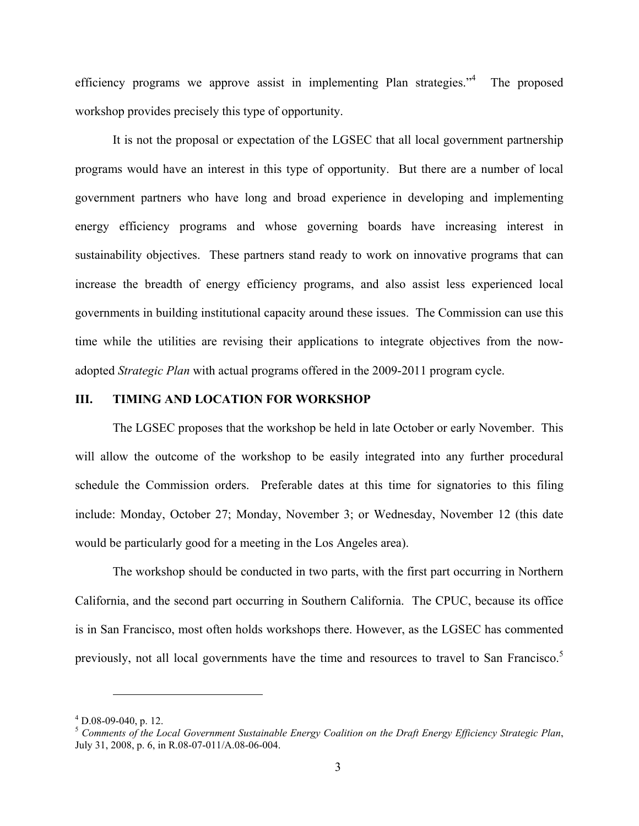efficiency programs we approve assist in implementing Plan strategies."4 The proposed workshop provides precisely this type of opportunity.

It is not the proposal or expectation of the LGSEC that all local government partnership programs would have an interest in this type of opportunity. But there are a number of local government partners who have long and broad experience in developing and implementing energy efficiency programs and whose governing boards have increasing interest in sustainability objectives. These partners stand ready to work on innovative programs that can increase the breadth of energy efficiency programs, and also assist less experienced local governments in building institutional capacity around these issues. The Commission can use this time while the utilities are revising their applications to integrate objectives from the nowadopted *Strategic Plan* with actual programs offered in the 2009-2011 program cycle.

#### **III. TIMING AND LOCATION FOR WORKSHOP**

 The LGSEC proposes that the workshop be held in late October or early November. This will allow the outcome of the workshop to be easily integrated into any further procedural schedule the Commission orders. Preferable dates at this time for signatories to this filing include: Monday, October 27; Monday, November 3; or Wednesday, November 12 (this date would be particularly good for a meeting in the Los Angeles area).

 The workshop should be conducted in two parts, with the first part occurring in Northern California, and the second part occurring in Southern California. The CPUC, because its office is in San Francisco, most often holds workshops there. However, as the LGSEC has commented previously, not all local governments have the time and resources to travel to San Francisco.<sup>5</sup>

<u>.</u>

 $^{4}$  D.08-09-040, p. 12.

<sup>5</sup> *Comments of the Local Government Sustainable Energy Coalition on the Draft Energy Efficiency Strategic Plan*, July 31, 2008, p. 6, in R.08-07-011/A.08-06-004.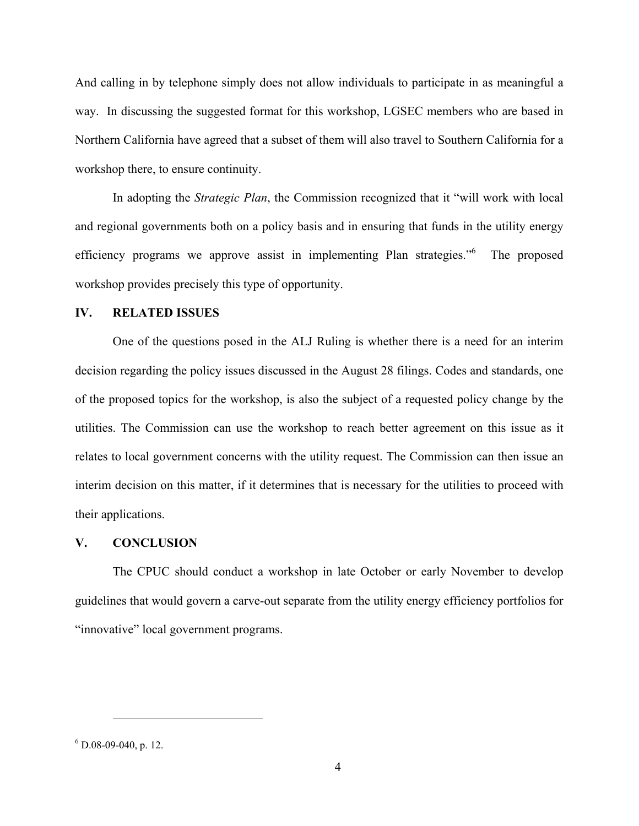And calling in by telephone simply does not allow individuals to participate in as meaningful a way. In discussing the suggested format for this workshop, LGSEC members who are based in Northern California have agreed that a subset of them will also travel to Southern California for a workshop there, to ensure continuity.

In adopting the *Strategic Plan*, the Commission recognized that it "will work with local and regional governments both on a policy basis and in ensuring that funds in the utility energy efficiency programs we approve assist in implementing Plan strategies."<sup>6</sup> The proposed workshop provides precisely this type of opportunity.

#### **IV. RELATED ISSUES**

 One of the questions posed in the ALJ Ruling is whether there is a need for an interim decision regarding the policy issues discussed in the August 28 filings. Codes and standards, one of the proposed topics for the workshop, is also the subject of a requested policy change by the utilities. The Commission can use the workshop to reach better agreement on this issue as it relates to local government concerns with the utility request. The Commission can then issue an interim decision on this matter, if it determines that is necessary for the utilities to proceed with their applications.

#### **V. CONCLUSION**

 The CPUC should conduct a workshop in late October or early November to develop guidelines that would govern a carve-out separate from the utility energy efficiency portfolios for "innovative" local government programs.

 $\overline{a}$ 

 $6$  D.08-09-040, p. 12.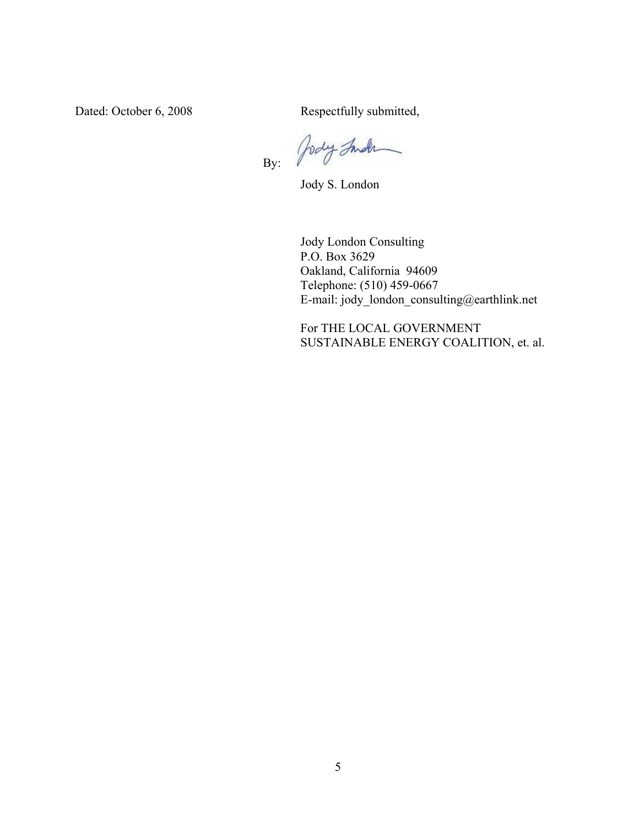Dated: October 6, 2008 Respectfully submitted,

Jody Inder  $\overline{a}$ By:

Jody S. London

Jody London Consulting P.O. Box 3629 Oakland, California 94609 Telephone: (510) 459-0667 E-mail: jody\_london\_consulting@earthlink.net

For THE LOCAL GOVERNMENT SUSTAINABLE ENERGY COALITION, et. al.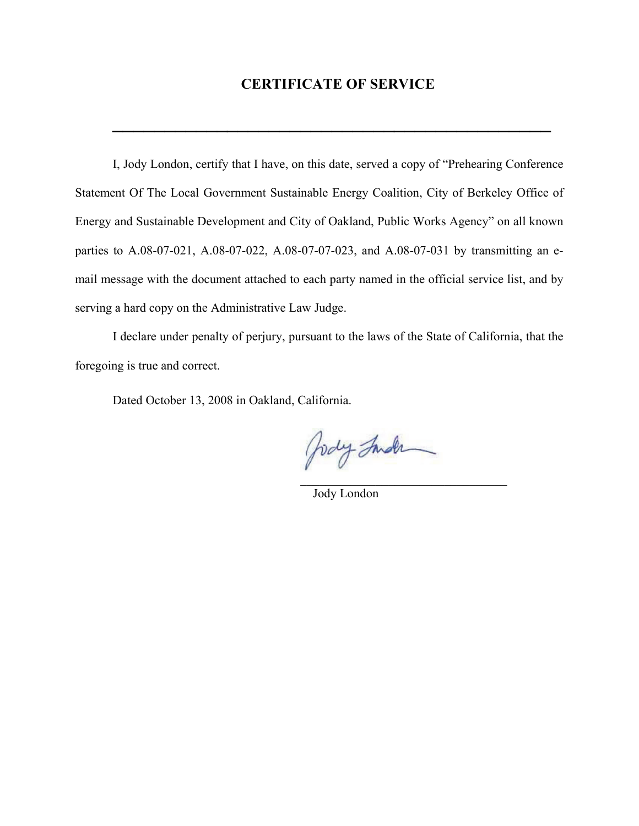## **CERTIFICATE OF SERVICE**

**\_\_\_\_\_\_\_\_\_\_\_\_\_\_\_\_\_\_\_\_\_\_\_\_\_\_\_\_\_\_\_\_\_\_\_\_\_\_\_\_\_\_**

I, Jody London, certify that I have, on this date, served a copy of "Prehearing Conference Statement Of The Local Government Sustainable Energy Coalition, City of Berkeley Office of Energy and Sustainable Development and City of Oakland, Public Works Agency" on all known parties to A.08-07-021, A.08-07-022, A.08-07-07-023, and A.08-07-031 by transmitting an email message with the document attached to each party named in the official service list, and by serving a hard copy on the Administrative Law Judge.

I declare under penalty of perjury, pursuant to the laws of the State of California, that the foregoing is true and correct.

 $\mathcal{L}_\text{max}$  and  $\mathcal{L}_\text{max}$  and  $\mathcal{L}_\text{max}$  and  $\mathcal{L}_\text{max}$  and  $\mathcal{L}_\text{max}$ 

Dated October 13, 2008 in Oakland, California.

Jody Inder

Jody London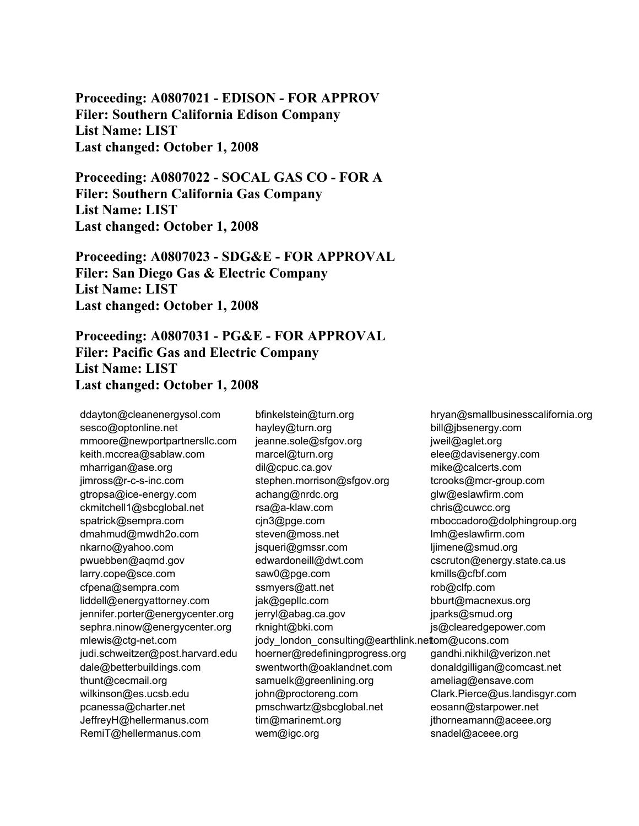**Proceeding: A0807021 - EDISON - FOR APPROV Filer: Southern California Edison Company List Name: LIST Last changed: October 1, 2008** 

**Proceeding: A0807022 - SOCAL GAS CO - FOR A Filer: Southern California Gas Company List Name: LIST Last changed: October 1, 2008** 

**Proceeding: A0807023 - SDG&E - FOR APPROVAL Filer: San Diego Gas & Electric Company List Name: LIST Last changed: October 1, 2008** 

**Proceeding: A0807031 - PG&E - FOR APPROVAL Filer: Pacific Gas and Electric Company List Name: LIST Last changed: October 1, 2008** 

ddayton@cleanenergysol.com sesco@optonline.net mmoore@newportpartnersllc.com keith.mccrea@sablaw.com mharrigan@ase.org jimross@r-c-s-inc.com gtropsa@ice-energy.com ckmitchell1@sbcglobal.net spatrick@sempra.com dmahmud@mwdh2o.com nkarno@yahoo.com pwuebben@aqmd.gov larry.cope@sce.com cfpena@sempra.com liddell@energyattorney.com jennifer.porter@energycenter.org sephra.ninow@energycenter.org mlewis@ctg-net.com judi.schweitzer@post.harvard.edu dale@betterbuildings.com thunt@cecmail.org wilkinson@es.ucsb.edu pcanessa@charter.net JeffreyH@hellermanus.com RemiT@hellermanus.com

bfinkelstein@turn.org hayley@turn.org jeanne.sole@sfgov.org marcel@turn.org dil@cpuc.ca.gov stephen.morrison@sfgov.org achang@nrdc.org rsa@a-klaw.com cjn3@pge.com steven@moss.net jsqueri@gmssr.com edwardoneill@dwt.com saw0@pge.com ssmyers@att.net jak@gepllc.com jerryl@abag.ca.gov rknight@bki.com jody\_london\_consulting@earthlink.nettom@ucons.com hoerner@redefiningprogress.org swentworth@oaklandnet.com samuelk@greenlining.org john@proctoreng.com pmschwartz@sbcglobal.net tim@marinemt.org wem@igc.org

hryan@smallbusinesscalifornia.org bill@jbsenergy.com jweil@aglet.org elee@davisenergy.com mike@calcerts.com tcrooks@mcr-group.com glw@eslawfirm.com chris@cuwcc.org mboccadoro@dolphingroup.org lmh@eslawfirm.com ljimene@smud.org cscruton@energy.state.ca.us kmills@cfbf.com rob@clfp.com bburt@macnexus.org jparks@smud.org js@clearedgepower.com gandhi.nikhil@verizon.net donaldgilligan@comcast.net ameliag@ensave.com Clark.Pierce@us.landisgyr.com eosann@starpower.net jthorneamann@aceee.org snadel@aceee.org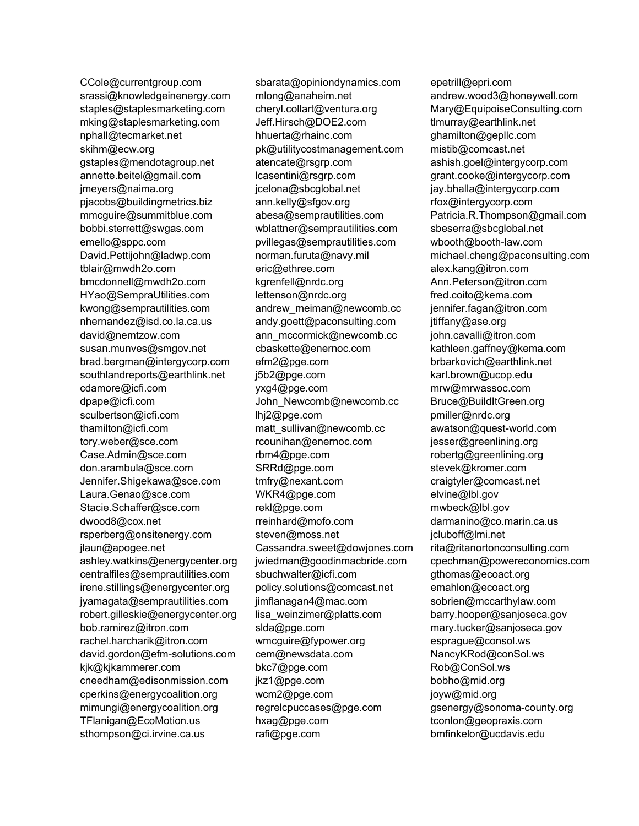CCole@currentgroup.com srassi@knowledgeinenergy.com staples@staplesmarketing.com mking@staplesmarketing.com nphall@tecmarket.net skihm@ecw.org gstaples@mendotagroup.net annette.beitel@gmail.com jmeyers@naima.org pjacobs@buildingmetrics.biz mmcguire@summitblue.com bobbi.sterrett@swgas.com emello@sppc.com David.Pettijohn@ladwp.com tblair@mwdh2o.com bmcdonnell@mwdh2o.com HYao@SempraUtilities.com kwong@semprautilities.com nhernandez@isd.co.la.ca.us david@nemtzow.com susan.munves@smgov.net brad.bergman@intergycorp.com southlandreports@earthlink.net cdamore@icfi.com dpape@icfi.com sculbertson@icfi.com thamilton@icfi.com tory.weber@sce.com Case.Admin@sce.com don.arambula@sce.com Jennifer.Shigekawa@sce.com Laura.Genao@sce.com Stacie.Schaffer@sce.com dwood8@cox.net rsperberg@onsitenergy.com jlaun@apogee.net ashley.watkins@energycenter.org centralfiles@semprautilities.com irene.stillings@energycenter.org jyamagata@semprautilities.com robert.gilleskie@energycenter.org bob.ramirez@itron.com rachel.harcharik@itron.com david.gordon@efm-solutions.com kjk@kjkammerer.com cneedham@edisonmission.com cperkins@energycoalition.org mimungi@energycoalition.org TFlanigan@EcoMotion.us sthompson@ci.irvine.ca.us

sbarata@opiniondynamics.com mlong@anaheim.net cheryl.collart@ventura.org Jeff.Hirsch@DOE2.com hhuerta@rhainc.com pk@utilitycostmanagement.com atencate@rsgrp.com lcasentini@rsgrp.com jcelona@sbcglobal.net ann.kelly@sfgov.org abesa@semprautilities.com wblattner@semprautilities.com pvillegas@semprautilities.com norman.furuta@navy.mil eric@ethree.com kgrenfell@nrdc.org lettenson@nrdc.org andrew\_meiman@newcomb.cc andy.goett@paconsulting.com ann\_mccormick@newcomb.cc cbaskette@enernoc.com efm2@pge.com j5b2@pge.com yxg4@pge.com John\_Newcomb@newcomb.cc lhj2@pge.com matt\_sullivan@newcomb.cc rcounihan@enernoc.com rbm4@pge.com SRRd@pge.com tmfry@nexant.com WKR4@pge.com rekl@pge.com rreinhard@mofo.com steven@moss.net Cassandra.sweet@dowjones.com jwiedman@goodinmacbride.com sbuchwalter@icfi.com policy.solutions@comcast.net jimflanagan4@mac.com lisa\_weinzimer@platts.com slda@pge.com wmcguire@fypower.org cem@newsdata.com bkc7@pge.com jkz1@pge.com wcm2@pge.com regrelcpuccases@pge.com hxag@pge.com rafi@pge.com

epetrill@epri.com andrew.wood3@honeywell.com Mary@EquipoiseConsulting.com tlmurray@earthlink.net ghamilton@gepllc.com mistib@comcast.net ashish.goel@intergycorp.com grant.cooke@intergycorp.com jay.bhalla@intergycorp.com rfox@intergycorp.com Patricia.R.Thompson@gmail.com sbeserra@sbcglobal.net wbooth@booth-law.com michael.cheng@paconsulting.com alex.kang@itron.com Ann.Peterson@itron.com fred.coito@kema.com jennifer.fagan@itron.com jtiffany@ase.org john.cavalli@itron.com kathleen.gaffney@kema.com brbarkovich@earthlink.net karl.brown@ucop.edu mrw@mrwassoc.com Bruce@BuildItGreen.org pmiller@nrdc.org awatson@quest-world.com jesser@greenlining.org robertg@greenlining.org stevek@kromer.com craigtyler@comcast.net elvine@lbl.gov mwbeck@lbl.gov darmanino@co.marin.ca.us jcluboff@lmi.net rita@ritanortonconsulting.com cpechman@powereconomics.com gthomas@ecoact.org emahlon@ecoact.org sobrien@mccarthylaw.com barry.hooper@sanjoseca.gov mary.tucker@sanjoseca.gov esprague@consol.ws NancyKRod@conSol.ws Rob@ConSol.ws bobho@mid.org joyw@mid.org gsenergy@sonoma-county.org tconlon@geopraxis.com bmfinkelor@ucdavis.edu